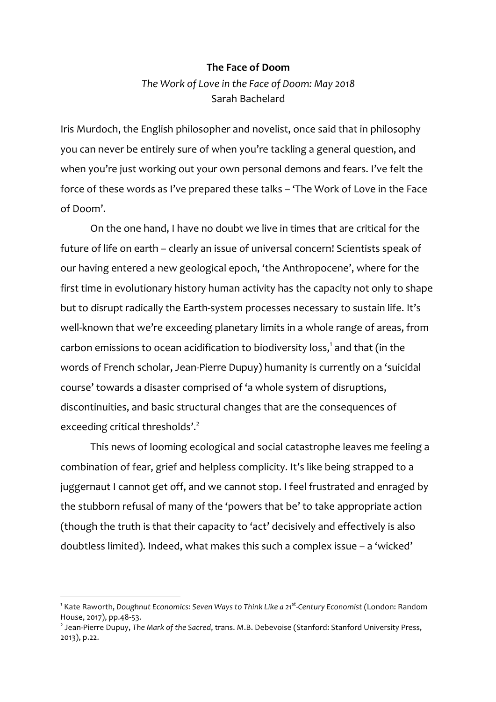#### **The Face of Doom**

# *The Work of Love in the Face of Doom: May 2018* Sarah Bachelard

Iris Murdoch, the English philosopher and novelist, once said that in philosophy you can never be entirely sure of when you're tackling a general question, and when you're just working out your own personal demons and fears. I've felt the force of these words as I've prepared these talks – 'The Work of Love in the Face of Doom'.

On the one hand, I have no doubt we live in times that are critical for the future of life on earth – clearly an issue of universal concern! Scientists speak of our having entered a new geological epoch, 'the Anthropocene', where for the first time in evolutionary history human activity has the capacity not only to shape but to disrupt radically the Earth-system processes necessary to sustain life. It's well-known that we're exceeding planetary limits in a whole range of areas, from carbon emissions to ocean acidification to biodiversity loss, $^1$  and that (in the words of French scholar, Jean-Pierre Dupuy) humanity is currently on a 'suicidal course' towards a disaster comprised of 'a whole system of disruptions, discontinuities, and basic structural changes that are the consequences of exceeding critical thresholds'.<sup>2</sup>

This news of looming ecological and social catastrophe leaves me feeling a combination of fear, grief and helpless complicity. It's like being strapped to a juggernaut I cannot get off, and we cannot stop. I feel frustrated and enraged by the stubborn refusal of many of the 'powers that be' to take appropriate action (though the truth is that their capacity to 'act' decisively and effectively is also doubtless limited). Indeed, what makes this such a complex issue – a 'wicked'

<sup>1</sup> Kate Raworth, *Doughnut Economics: Seven Ways to Think Like a 21st-Century Economist* (London: Random House, 2017), pp.48-53.

<sup>2</sup> Jean-Pierre Dupuy, *The Mark of the Sacred*, trans. M.B. Debevoise (Stanford: Stanford University Press, 2013), p.22.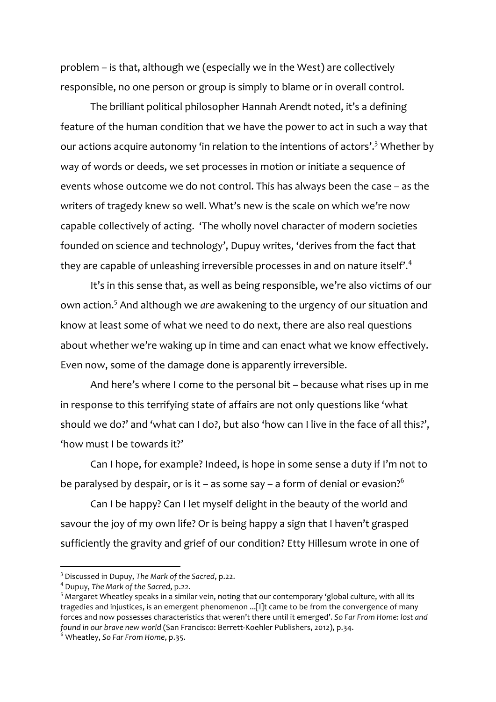problem – is that, although we (especially we in the West) are collectively responsible, no one person or group is simply to blame or in overall control.

The brilliant political philosopher Hannah Arendt noted, it's a defining feature of the human condition that we have the power to act in such a way that our actions acquire autonomy 'in relation to the intentions of actors'. <sup>3</sup> Whether by way of words or deeds, we set processes in motion or initiate a sequence of events whose outcome we do not control. This has always been the case – as the writers of tragedy knew so well. What's new is the scale on which we're now capable collectively of acting. 'The wholly novel character of modern societies founded on science and technology', Dupuy writes, 'derives from the fact that they are capable of unleashing irreversible processes in and on nature itself'.<sup>4</sup>

It's in this sense that, as well as being responsible, we're also victims of our own action.5 And although we *are* awakening to the urgency of our situation and know at least some of what we need to do next, there are also real questions about whether we're waking up in time and can enact what we know effectively. Even now, some of the damage done is apparently irreversible.

And here's where I come to the personal bit – because what rises up in me in response to this terrifying state of affairs are not only questions like 'what should we do?' and 'what can I do?, but also 'how can I live in the face of all this?', 'how must I be towards it?'

Can I hope, for example? Indeed, is hope in some sense a duty if I'm not to be paralysed by despair, or is it – as some say – a form of denial or evasion?<sup>6</sup>

Can I be happy? Can I let myself delight in the beauty of the world and savour the joy of my own life? Or is being happy a sign that I haven't grasped sufficiently the gravity and grief of our condition? Etty Hillesum wrote in one of

<sup>3</sup> Discussed in Dupuy, *The Mark of the Sacred*, p.22.

<sup>4</sup> Dupuy, *The Mark of the Sacred*, p.22.

<sup>&</sup>lt;sup>5</sup> Margaret Wheatley speaks in a similar vein, noting that our contemporary 'global culture, with all its tragedies and injustices, is an emergent phenomenon ...[I]t came to be from the convergence of many forces and now possesses characteristics that weren't there until it emerged'. *So Far From Home: lost and found in our brave new world* (San Francisco: Berrett-Koehler Publishers, 2012), p.34.

<sup>6</sup> Wheatley, *So Far From Home*, p.35.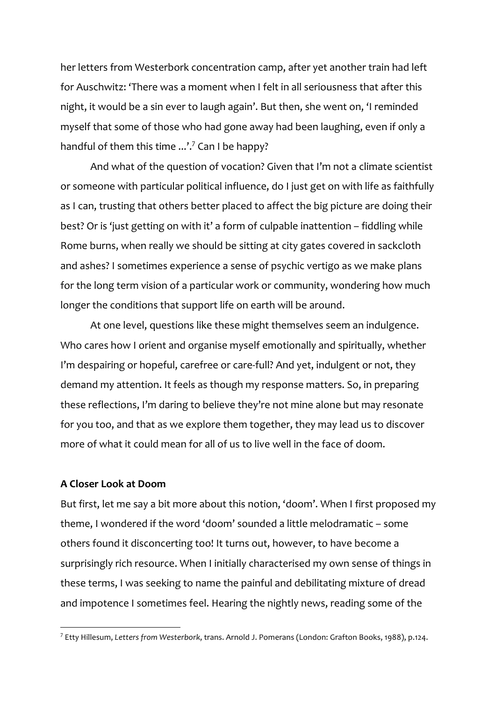her letters from Westerbork concentration camp, after yet another train had left for Auschwitz: 'There was a moment when I felt in all seriousness that after this night, it would be a sin ever to laugh again'. But then, she went on, 'I reminded myself that some of those who had gone away had been laughing, even if only a handful of them this time  $...\dot{'}$  Can I be happy?

And what of the question of vocation? Given that I'm not a climate scientist or someone with particular political influence, do I just get on with life as faithfully as I can, trusting that others better placed to affect the big picture are doing their best? Or is 'just getting on with it' a form of culpable inattention – fiddling while Rome burns, when really we should be sitting at city gates covered in sackcloth and ashes? I sometimes experience a sense of psychic vertigo as we make plans for the long term vision of a particular work or community, wondering how much longer the conditions that support life on earth will be around.

At one level, questions like these might themselves seem an indulgence. Who cares how I orient and organise myself emotionally and spiritually, whether I'm despairing or hopeful, carefree or care-full? And yet, indulgent or not, they demand my attention. It feels as though my response matters. So, in preparing these reflections, I'm daring to believe they're not mine alone but may resonate for you too, and that as we explore them together, they may lead us to discover more of what it could mean for all of us to live well in the face of doom.

### **A Closer Look at Doom**

 

But first, let me say a bit more about this notion, 'doom'. When I first proposed my theme, I wondered if the word 'doom' sounded a little melodramatic – some others found it disconcerting too! It turns out, however, to have become a surprisingly rich resource. When I initially characterised my own sense of things in these terms, I was seeking to name the painful and debilitating mixture of dread and impotence I sometimes feel. Hearing the nightly news, reading some of the

<sup>7</sup> Etty Hillesum, *Letters from Westerbork*, trans. Arnold J. Pomerans (London: Grafton Books, 1988), p.124.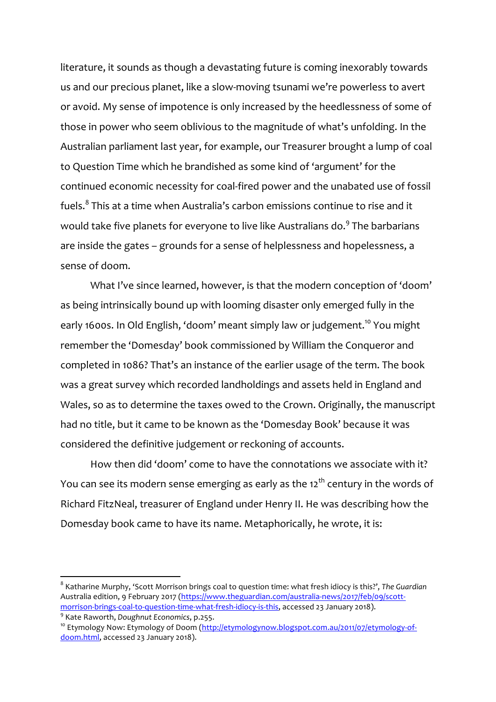literature, it sounds as though a devastating future is coming inexorably towards us and our precious planet, like a slow-moving tsunami we're powerless to avert or avoid. My sense of impotence is only increased by the heedlessness of some of those in power who seem oblivious to the magnitude of what's unfolding. In the Australian parliament last year, for example, our Treasurer brought a lump of coal to Question Time which he brandished as some kind of 'argument' for the continued economic necessity for coal-fired power and the unabated use of fossil fuels. <sup>8</sup> This at a time when Australia's carbon emissions continue to rise and it would take five planets for everyone to live like Australians do.<sup>9</sup> The barbarians are inside the gates – grounds for a sense of helplessness and hopelessness, a sense of doom.

What I've since learned, however, is that the modern conception of 'doom' as being intrinsically bound up with looming disaster only emerged fully in the early 1600s. In Old English, 'doom' meant simply law or judgement.<sup>10</sup> You might remember the 'Domesday' book commissioned by William the Conqueror and completed in 1086? That's an instance of the earlier usage of the term. The book was a great survey which recorded landholdings and assets held in England and Wales, so as to determine the taxes owed to the Crown. Originally, the manuscript had no title, but it came to be known as the 'Domesday Book' because it was considered the definitive judgement or reckoning of accounts.

How then did 'doom' come to have the connotations we associate with it? You can see its modern sense emerging as early as the  $12<sup>th</sup>$  century in the words of Richard FitzNeal, treasurer of England under Henry II. He was describing how the Domesday book came to have its name. Metaphorically, he wrote, it is:

<sup>8</sup> Katharine Murphy, 'Scott Morrison brings coal to question time: what fresh idiocy is this?', *The Guardian* Australia edition, 9 February 2017 (https://www.theguardian.com/australia-news/2017/feb/09/scottmorrison-brings-coal-to-question-time-what-fresh-idiocy-is-this, accessed 23 January 2018).

<sup>9</sup> Kate Raworth, *Doughnut Economics*, p.255.

<sup>&</sup>lt;sup>10</sup> Etymology Now: Etymology of Doom (http://etymologynow.blogspot.com.au/2011/07/etymology-ofdoom.html, accessed 23 January 2018).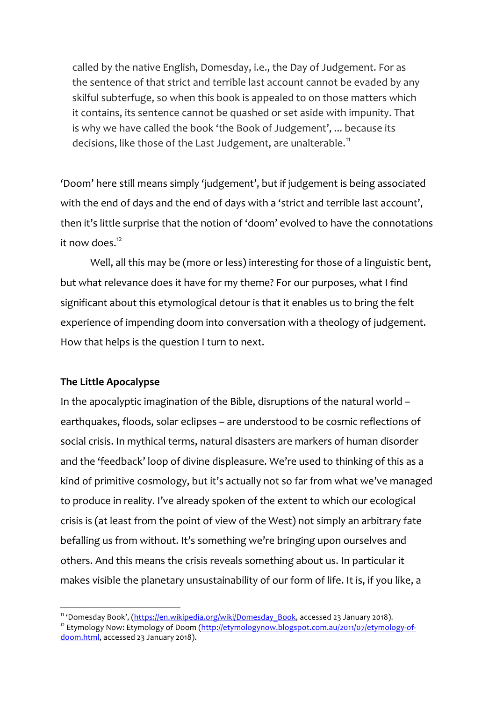called by the native English, Domesday, i.e., the Day of Judgement. For as the sentence of that strict and terrible last account cannot be evaded by any skilful subterfuge, so when this book is appealed to on those matters which it contains, its sentence cannot be quashed or set aside with impunity. That is why we have called the book 'the Book of Judgement', ... because its decisions, like those of the Last Judgement, are unalterable.<sup>11</sup>

'Doom' here still means simply 'judgement', but if judgement is being associated with the end of days and the end of days with a 'strict and terrible last account', then it's little surprise that the notion of 'doom' evolved to have the connotations it now does. 12

Well, all this may be (more or less) interesting for those of a linguistic bent, but what relevance does it have for my theme? For our purposes, what I find significant about this etymological detour is that it enables us to bring the felt experience of impending doom into conversation with a theology of judgement. How that helps is the question I turn to next.

## **The Little Apocalypse**

 

In the apocalyptic imagination of the Bible, disruptions of the natural world – earthquakes, floods, solar eclipses – are understood to be cosmic reflections of social crisis. In mythical terms, natural disasters are markers of human disorder and the 'feedback' loop of divine displeasure. We're used to thinking of this as a kind of primitive cosmology, but it's actually not so far from what we've managed to produce in reality. I've already spoken of the extent to which our ecological crisis is (at least from the point of view of the West) not simply an arbitrary fate befalling us from without. It's something we're bringing upon ourselves and others. And this means the crisis reveals something about us. In particular it makes visible the planetary unsustainability of our form of life. It is, if you like, a

<sup>&</sup>lt;sup>11</sup> 'Domesday Book', (https://en.wikipedia.org/wiki/Domesday\_Book, accessed 23 January 2018).

<sup>&</sup>lt;sup>12</sup> Etymology Now: Etymology of Doom (http://etymologynow.blogspot.com.au/2011/07/etymology-ofdoom.html, accessed 23 January 2018).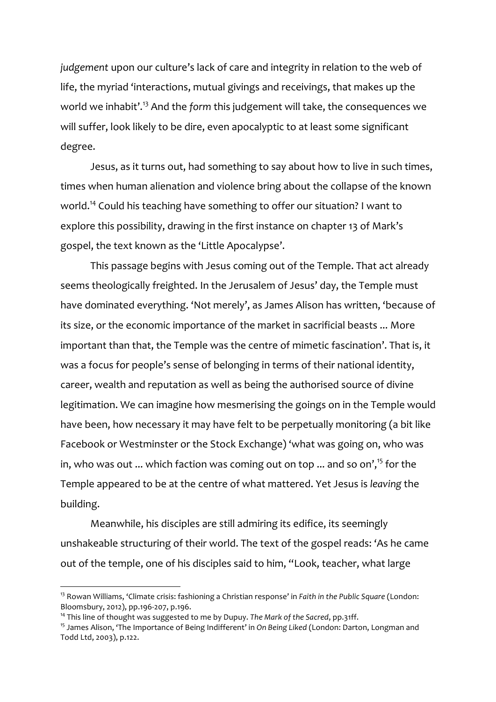*judgement* upon our culture's lack of care and integrity in relation to the web of life, the myriad 'interactions, mutual givings and receivings, that makes up the world we inhabit'.<sup>13</sup> And the *form* this judgement will take, the consequences we will suffer, look likely to be dire, even apocalyptic to at least some significant degree.

Jesus, as it turns out, had something to say about how to live in such times, times when human alienation and violence bring about the collapse of the known world.<sup>14</sup> Could his teaching have something to offer our situation? I want to explore this possibility, drawing in the first instance on chapter 13 of Mark's gospel, the text known as the 'Little Apocalypse'.

This passage begins with Jesus coming out of the Temple. That act already seems theologically freighted. In the Jerusalem of Jesus' day, the Temple must have dominated everything. 'Not merely', as James Alison has written, 'because of its size, or the economic importance of the market in sacrificial beasts ... More important than that, the Temple was the centre of mimetic fascination'. That is, it was a focus for people's sense of belonging in terms of their national identity, career, wealth and reputation as well as being the authorised source of divine legitimation. We can imagine how mesmerising the goings on in the Temple would have been, how necessary it may have felt to be perpetually monitoring (a bit like Facebook or Westminster or the Stock Exchange) 'what was going on, who was in, who was out  $...$  which faction was coming out on top  $...$  and so on', $^{\mathsf{15}}$  for the Temple appeared to be at the centre of what mattered. Yet Jesus is *leaving* the building.

Meanwhile, his disciples are still admiring its edifice, its seemingly unshakeable structuring of their world. The text of the gospel reads: 'As he came out of the temple, one of his disciples said to him, "Look, teacher, what large

<sup>13</sup> Rowan Williams, 'Climate crisis: fashioning a Christian response' in *Faith in the Public Square* (London: Bloomsbury, 2012), pp.196-207, p.196.

<sup>&</sup>lt;sup>14</sup> This line of thought was suggested to me by Dupuy. The Mark of the Sacred, pp.31ff.

<sup>15</sup> James Alison, 'The Importance of Being Indifferent' in *On Being Liked* (London: Darton, Longman and Todd Ltd, 2003), p.122.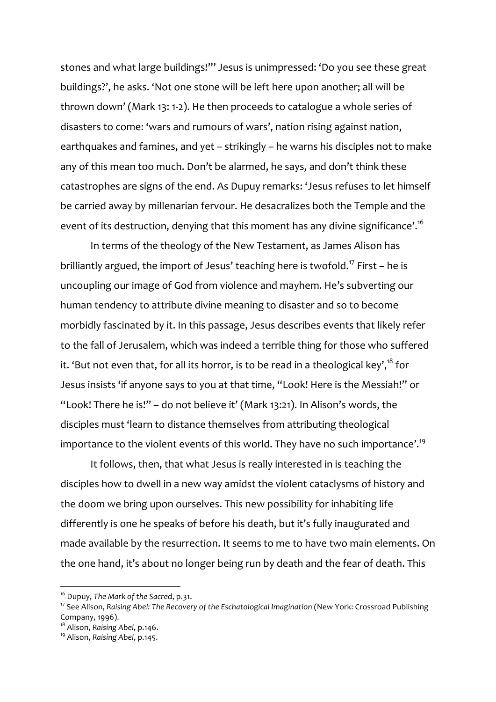stones and what large buildings!"' Jesus is unimpressed: 'Do you see these great buildings?', he asks. 'Not one stone will be left here upon another; all will be thrown down' (Mark 13: 1-2). He then proceeds to catalogue a whole series of disasters to come: 'wars and rumours of wars', nation rising against nation, earthquakes and famines, and yet – strikingly – he warns his disciples not to make any of this mean too much. Don't be alarmed, he says, and don't think these catastrophes are signs of the end. As Dupuy remarks: 'Jesus refuses to let himself be carried away by millenarian fervour. He desacralizes both the Temple and the event of its destruction, denying that this moment has any divine significance'.<sup>16</sup>

In terms of the theology of the New Testament, as James Alison has brilliantly argued, the import of Jesus' teaching here is twofold.<sup>17</sup> First – he is uncoupling our image of God from violence and mayhem. He's subverting our human tendency to attribute divine meaning to disaster and so to become morbidly fascinated by it. In this passage, Jesus describes events that likely refer to the fall of Jerusalem, which was indeed a terrible thing for those who suffered it. 'But not even that, for all its horror, is to be read in a theological key',<sup>18</sup> for Jesus insists 'if anyone says to you at that time, "Look! Here is the Messiah!" or "Look! There he is!" – do not believe it' (Mark 13:21). In Alison's words, the disciples must 'learn to distance themselves from attributing theological importance to the violent events of this world. They have no such importance'.<sup>19</sup>

It follows, then, that what Jesus is really interested in is teaching the disciples how to dwell in a new way amidst the violent cataclysms of history and the doom we bring upon ourselves. This new possibility for inhabiting life differently is one he speaks of before his death, but it's fully inaugurated and made available by the resurrection. It seems to me to have two main elements. On the one hand, it's about no longer being run by death and the fear of death. This

 <sup>16</sup> Dupuy, *The Mark of the Sacred*, p.31.

<sup>&</sup>lt;sup>17</sup> See Alison, *Raising Abel: The Recovery of the Eschatological Imagination* (New York: Crossroad Publishing Company, 1996).

<sup>18</sup> Alison, *Raising Abel*, p.146.

<sup>19</sup> Alison, *Raising Abel*, p.145.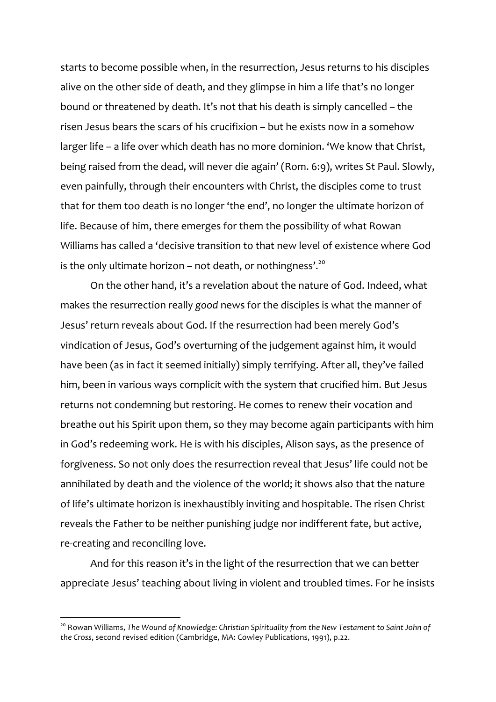starts to become possible when, in the resurrection, Jesus returns to his disciples alive on the other side of death, and they glimpse in him a life that's no longer bound or threatened by death. It's not that his death is simply cancelled – the risen Jesus bears the scars of his crucifixion – but he exists now in a somehow larger life – a life over which death has no more dominion. 'We know that Christ, being raised from the dead, will never die again' (Rom. 6:9), writes St Paul. Slowly, even painfully, through their encounters with Christ, the disciples come to trust that for them too death is no longer 'the end', no longer the ultimate horizon of life. Because of him, there emerges for them the possibility of what Rowan Williams has called a 'decisive transition to that new level of existence where God is the only ultimate horizon – not death, or nothingness'.<sup>20</sup>

On the other hand, it's a revelation about the nature of God. Indeed, what makes the resurrection really *good* news for the disciples is what the manner of Jesus' return reveals about God. If the resurrection had been merely God's vindication of Jesus, God's overturning of the judgement against him, it would have been (as in fact it seemed initially) simply terrifying. After all, they've failed him, been in various ways complicit with the system that crucified him. But Jesus returns not condemning but restoring. He comes to renew their vocation and breathe out his Spirit upon them, so they may become again participants with him in God's redeeming work. He is with his disciples, Alison says, as the presence of forgiveness. So not only does the resurrection reveal that Jesus' life could not be annihilated by death and the violence of the world; it shows also that the nature of life's ultimate horizon is inexhaustibly inviting and hospitable. The risen Christ reveals the Father to be neither punishing judge nor indifferent fate, but active, re-creating and reconciling love.

And for this reason it's in the light of the resurrection that we can better appreciate Jesus' teaching about living in violent and troubled times. For he insists

<sup>&</sup>lt;sup>20</sup> Rowan Williams, The Wound of Knowledge: Christian Spirituality from the New Testament to Saint John of *the Cross*, second revised edition (Cambridge, MA: Cowley Publications, 1991), p.22.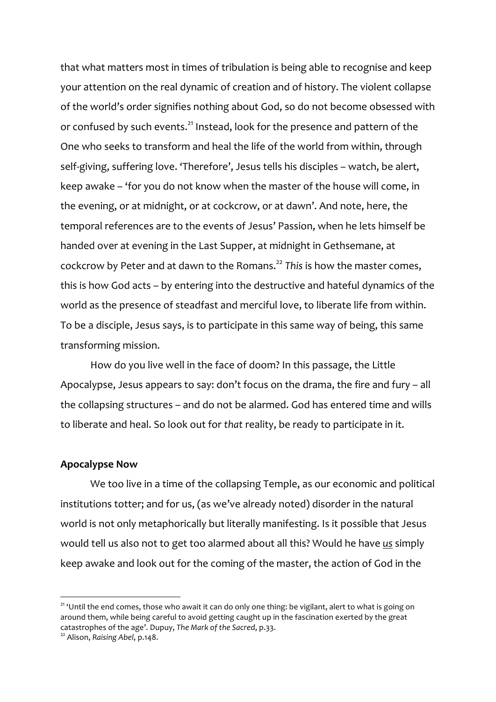that what matters most in times of tribulation is being able to recognise and keep your attention on the real dynamic of creation and of history. The violent collapse of the world's order signifies nothing about God, so do not become obsessed with or confused by such events.<sup>21</sup> Instead, look for the presence and pattern of the One who seeks to transform and heal the life of the world from within, through self-giving, suffering love. 'Therefore', Jesus tells his disciples – watch, be alert, keep awake – 'for you do not know when the master of the house will come, in the evening, or at midnight, or at cockcrow, or at dawn'. And note, here, the temporal references are to the events of Jesus' Passion, when he lets himself be handed over at evening in the Last Supper, at midnight in Gethsemane, at cockcrow by Peter and at dawn to the Romans.22 *This* is how the master comes, this is how God acts – by entering into the destructive and hateful dynamics of the world as the presence of steadfast and merciful love, to liberate life from within. To be a disciple, Jesus says, is to participate in this same way of being, this same transforming mission.

How do you live well in the face of doom? In this passage, the Little Apocalypse, Jesus appears to say: don't focus on the drama, the fire and fury – all the collapsing structures – and do not be alarmed. God has entered time and wills to liberate and heal. So look out for *that* reality, be ready to participate in it.

### **Apocalypse Now**

We too live in a time of the collapsing Temple, as our economic and political institutions totter; and for us, (as we've already noted) disorder in the natural world is not only metaphorically but literally manifesting. Is it possible that Jesus would tell us also not to get too alarmed about all this? Would he have *us* simply keep awake and look out for the coming of the master, the action of God in the

<sup>&</sup>lt;sup>21</sup> 'Until the end comes, those who await it can do only one thing: be vigilant, alert to what is going on around them, while being careful to avoid getting caught up in the fascination exerted by the great catastrophes of the age'. Dupuy, *The Mark of the Sacred*, p.33.

<sup>22</sup> Alison, *Raising Abel*, p.148.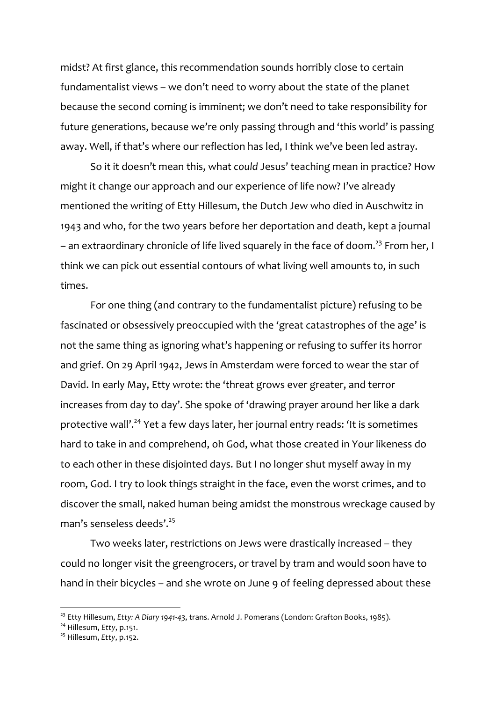midst? At first glance, this recommendation sounds horribly close to certain fundamentalist views – we don't need to worry about the state of the planet because the second coming is imminent; we don't need to take responsibility for future generations, because we're only passing through and 'this world' is passing away. Well, if that's where our reflection has led, I think we've been led astray.

So it it doesn't mean this, what *could* Jesus' teaching mean in practice? How might it change our approach and our experience of life now? I've already mentioned the writing of Etty Hillesum, the Dutch Jew who died in Auschwitz in 1943 and who, for the two years before her deportation and death, kept a journal – an extraordinary chronicle of life lived squarely in the face of doom.<sup>23</sup> From her, I think we can pick out essential contours of what living well amounts to, in such times.

For one thing (and contrary to the fundamentalist picture) refusing to be fascinated or obsessively preoccupied with the 'great catastrophes of the age' is not the same thing as ignoring what's happening or refusing to suffer its horror and grief. On 29 April 1942, Jews in Amsterdam were forced to wear the star of David. In early May, Etty wrote: the 'threat grows ever greater, and terror increases from day to day'. She spoke of 'drawing prayer around her like a dark protective wall'.<sup>24</sup> Yet a few days later, her journal entry reads: 'It is sometimes hard to take in and comprehend, oh God, what those created in Your likeness do to each other in these disjointed days. But I no longer shut myself away in my room, God. I try to look things straight in the face, even the worst crimes, and to discover the small, naked human being amidst the monstrous wreckage caused by man's senseless deeds'.<sup>25</sup>

Two weeks later, restrictions on Jews were drastically increased – they could no longer visit the greengrocers, or travel by tram and would soon have to hand in their bicycles – and she wrote on June 9 of feeling depressed about these

<sup>23</sup> Etty Hillesum, *Etty: A Diary 1941-43*, trans. Arnold J. Pomerans (London: Grafton Books, 1985).

<sup>24</sup> Hillesum, *Etty*, p.151.

<sup>25</sup> Hillesum, *Etty*, p.152.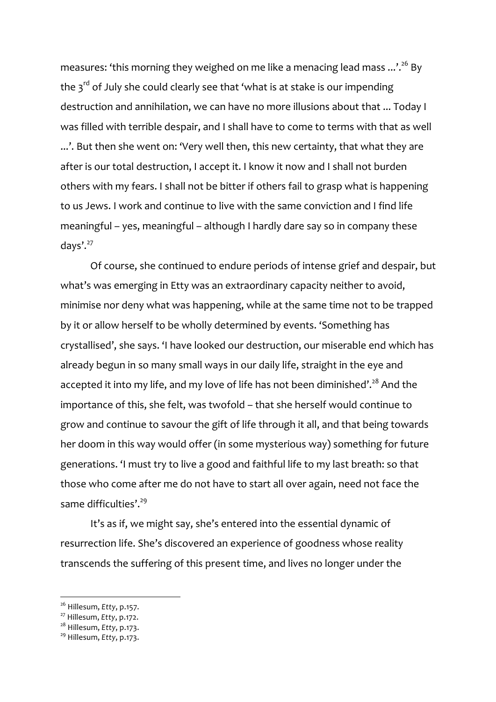measures: 'this morning they weighed on me like a menacing lead mass  $...'.^{\scriptscriptstyle 26}$  By the  $3<sup>rd</sup>$  of July she could clearly see that 'what is at stake is our impending destruction and annihilation, we can have no more illusions about that ... Today I was filled with terrible despair, and I shall have to come to terms with that as well ...'. But then she went on: 'Very well then, this new certainty, that what they are after is our total destruction, I accept it. I know it now and I shall not burden others with my fears. I shall not be bitter if others fail to grasp what is happening to us Jews. I work and continue to live with the same conviction and I find life meaningful – yes, meaningful – although I hardly dare say so in company these days'.<sup>27</sup>

Of course, she continued to endure periods of intense grief and despair, but what's was emerging in Etty was an extraordinary capacity neither to avoid, minimise nor deny what was happening, while at the same time not to be trapped by it or allow herself to be wholly determined by events. 'Something has crystallised', she says. 'I have looked our destruction, our miserable end which has already begun in so many small ways in our daily life, straight in the eye and accepted it into my life, and my love of life has not been diminished'. $^{\rm 28}$  And the importance of this, she felt, was twofold – that she herself would continue to grow and continue to savour the gift of life through it all, and that being towards her doom in this way would offer (in some mysterious way) something for future generations. 'I must try to live a good and faithful life to my last breath: so that those who come after me do not have to start all over again, need not face the same difficulties'.<sup>29</sup>

It's as if, we might say, she's entered into the essential dynamic of resurrection life. She's discovered an experience of goodness whose reality transcends the suffering of this present time, and lives no longer under the

<sup>26</sup> Hillesum, *Etty*, p.157.

<sup>27</sup> Hillesum, *Etty*, p.172.

<sup>28</sup> Hillesum, *Etty*, p.173.

<sup>29</sup> Hillesum, *Etty*, p.173.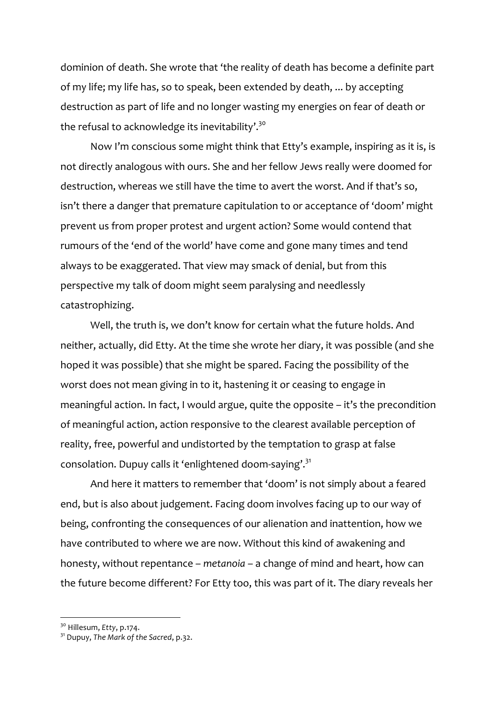dominion of death. She wrote that 'the reality of death has become a definite part of my life; my life has, so to speak, been extended by death, ... by accepting destruction as part of life and no longer wasting my energies on fear of death or the refusal to acknowledge its inevitability'. $^{30}$ 

Now I'm conscious some might think that Etty's example, inspiring as it is, is not directly analogous with ours. She and her fellow Jews really were doomed for destruction, whereas we still have the time to avert the worst. And if that's so, isn't there a danger that premature capitulation to or acceptance of 'doom' might prevent us from proper protest and urgent action? Some would contend that rumours of the 'end of the world' have come and gone many times and tend always to be exaggerated. That view may smack of denial, but from this perspective my talk of doom might seem paralysing and needlessly catastrophizing.

Well, the truth is, we don't know for certain what the future holds. And neither, actually, did Etty. At the time she wrote her diary, it was possible (and she hoped it was possible) that she might be spared. Facing the possibility of the worst does not mean giving in to it, hastening it or ceasing to engage in meaningful action. In fact, I would argue, quite the opposite – it's the precondition of meaningful action, action responsive to the clearest available perception of reality, free, powerful and undistorted by the temptation to grasp at false consolation. Dupuy calls it 'enlightened doom-saying'.<sup>31</sup>

And here it matters to remember that 'doom' is not simply about a feared end, but is also about judgement. Facing doom involves facing up to our way of being, confronting the consequences of our alienation and inattention, how we have contributed to where we are now. Without this kind of awakening and honesty, without repentance – *metanoia* – a change of mind and heart, how can the future become different? For Etty too, this was part of it. The diary reveals her

<sup>30</sup> Hillesum, *Etty*, p.174.

<sup>31</sup> Dupuy, *The Mark of the Sacred*, p.32.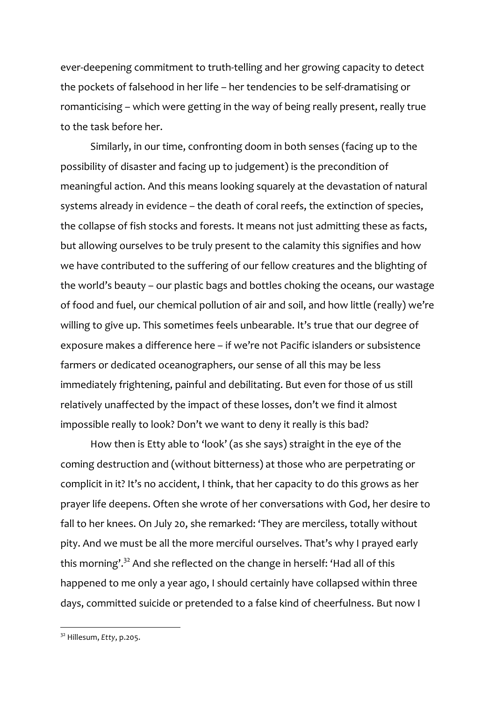ever-deepening commitment to truth-telling and her growing capacity to detect the pockets of falsehood in her life – her tendencies to be self-dramatising or romanticising – which were getting in the way of being really present, really true to the task before her.

Similarly, in our time, confronting doom in both senses (facing up to the possibility of disaster and facing up to judgement) is the precondition of meaningful action. And this means looking squarely at the devastation of natural systems already in evidence – the death of coral reefs, the extinction of species, the collapse of fish stocks and forests. It means not just admitting these as facts, but allowing ourselves to be truly present to the calamity this signifies and how we have contributed to the suffering of our fellow creatures and the blighting of the world's beauty – our plastic bags and bottles choking the oceans, our wastage of food and fuel, our chemical pollution of air and soil, and how little (really) we're willing to give up. This sometimes feels unbearable. It's true that our degree of exposure makes a difference here – if we're not Pacific islanders or subsistence farmers or dedicated oceanographers, our sense of all this may be less immediately frightening, painful and debilitating. But even for those of us still relatively unaffected by the impact of these losses, don't we find it almost impossible really to look? Don't we want to deny it really is this bad?

How then is Etty able to 'look' (as she says) straight in the eye of the coming destruction and (without bitterness) at those who are perpetrating or complicit in it? It's no accident, I think, that her capacity to do this grows as her prayer life deepens. Often she wrote of her conversations with God, her desire to fall to her knees. On July 20, she remarked: 'They are merciless, totally without pity. And we must be all the more merciful ourselves. That's why I prayed early this morning'.<sup>32</sup> And she reflected on the change in herself: 'Had all of this happened to me only a year ago, I should certainly have collapsed within three days, committed suicide or pretended to a false kind of cheerfulness. But now I

<sup>32</sup> Hillesum, *Etty*, p.205.